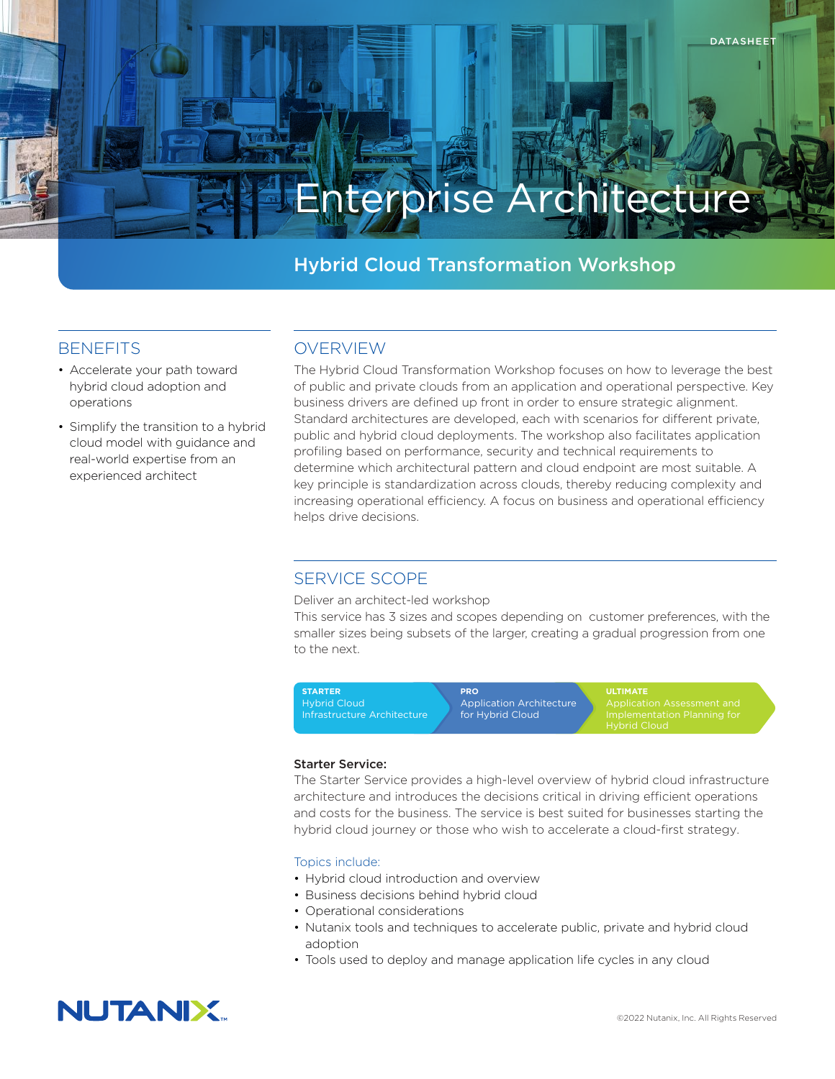# Enterprise Architecture

# Hybrid Cloud Transformation Workshop

## **BENEFITS**

- Accelerate your path toward hybrid cloud adoption and operations
- Simplify the transition to a hybrid cloud model with guidance and real-world expertise from an experienced architect

# OVERVIEW

The Hybrid Cloud Transformation Workshop focuses on how to leverage the best of public and private clouds from an application and operational perspective. Key business drivers are defined up front in order to ensure strategic alignment. Standard architectures are developed, each with scenarios for different private, public and hybrid cloud deployments. The workshop also facilitates application profiling based on performance, security and technical requirements to determine which architectural pattern and cloud endpoint are most suitable. A key principle is standardization across clouds, thereby reducing complexity and increasing operational efficiency. A focus on business and operational efficiency helps drive decisions.

# SERVICE SCOPE

Deliver an architect-led workshop

This service has 3 sizes and scopes depending on customer preferences, with the smaller sizes being subsets of the larger, creating a gradual progression from one to the next.



#### Starter Service:

The Starter Service provides a high-level overview of hybrid cloud infrastructure architecture and introduces the decisions critical in driving efficient operations and costs for the business. The service is best suited for businesses starting the hybrid cloud journey or those who wish to accelerate a cloud-first strategy.

#### Topics include:

- Hybrid cloud introduction and overview
- Business decisions behind hybrid cloud
- Operational considerations
- Nutanix tools and techniques to accelerate public, private and hybrid cloud adoption
- Tools used to deploy and manage application life cycles in any cloud

# **NUTANIX**

DATASHEET